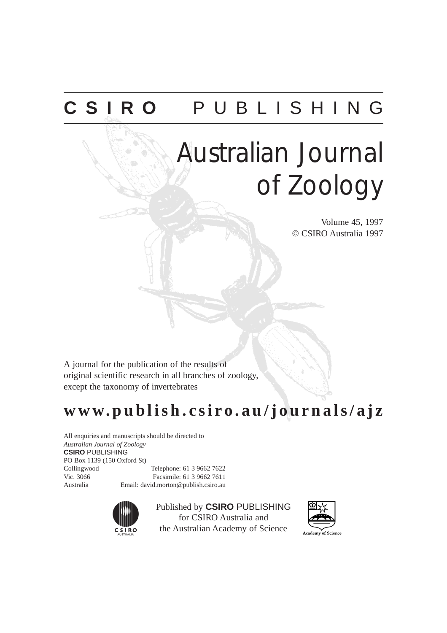## **CSIRO** PUBLISHING

# *Australian Journal of Zoology*

Volume 45, 1997 © CSIRO Australia 1997

A journal for the publication of the results of original scientific research in all branches of zoology, except the taxonomy of invertebrates

### **[www.publish.csiro.au/journals/ajz](http://www.publish.csiro.au/journals/ajz)**

All enquiries and manuscripts should be directed to *Australian Journal of Zoology* **CSIRO** PUBLISHING PO Box 1139 (150 Oxford St) Collingwood Telephone: 61 3 9662 7622 Vic. 3066 Facsimile: 61 3 9662 7611 Australia Email: david.morton@publish.csiro.au



Published by **CSIRO** [PUBLISHING](http://www.publish.csiro.au) for CSIRO Australia and the Australian Academy of Science

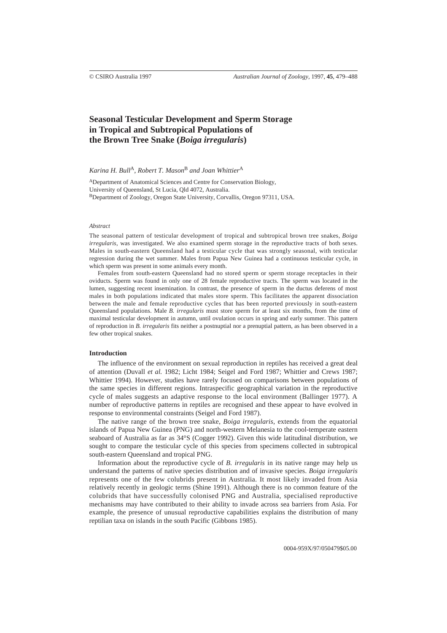#### **Seasonal Testicular Development and Sperm Storage in Tropical and Subtropical Populations of the Brown Tree Snake (***Boiga irregularis***)**

*Karina H. Bull*A*, Robert T. Mason*<sup>B</sup> *and Joan Whittier*<sup>A</sup>

ADepartment of Anatomical Sciences and Centre for Conservation Biology, University of Queensland, St Lucia, Qld 4072, Australia. BDepartment of Zoology, Oregon State University, Corvallis, Oregon 97311, USA.

#### *Abstract*

The seasonal pattern of testicular development of tropical and subtropical brown tree snakes, *Boiga irregularis,* was investigated. We also examined sperm storage in the reproductive tracts of both sexes. Males in south-eastern Queensland had a testicular cycle that was strongly seasonal, with testicular regression during the wet summer. Males from Papua New Guinea had a continuous testicular cycle, in which sperm was present in some animals every month.

Females from south-eastern Queensland had no stored sperm or sperm storage receptacles in their oviducts. Sperm was found in only one of 28 female reproductive tracts. The sperm was located in the lumen, suggesting recent insemination. In contrast, the presence of sperm in the ductus deferens of most males in both populations indicated that males store sperm. This facilitates the apparent dissociation between the male and female reproductive cycles that has been reported previously in south-eastern Queensland populations. Male *B. irregularis* must store sperm for at least six months, from the time of maximal testicular development in autumn, until ovulation occurs in spring and early summer. This pattern of reproduction in *B. irregularis* fits neither a postnuptial nor a prenuptial pattern, as has been observed in a few other tropical snakes.

#### **Introduction**

The influence of the environment on sexual reproduction in reptiles has received a great deal of attention (Duvall *et al.* 1982; Licht 1984; Seigel and Ford 1987; Whittier and Crews 1987; Whittier 1994). However, studies have rarely focused on comparisons between populations of the same species in different regions. Intraspecific geographical variation in the reproductive cycle of males suggests an adaptive response to the local environment (Ballinger 1977). A number of reproductive patterns in reptiles are recognised and these appear to have evolved in response to environmental constraints (Seigel and Ford 1987).

The native range of the brown tree snake, *Boiga irregularis*, extends from the equatorial islands of Papua New Guinea (PNG) and north-western Melanesia to the cool-temperate eastern seaboard of Australia as far as 34°S (Cogger 1992). Given this wide latitudinal distribution, we sought to compare the testicular cycle of this species from specimens collected in subtropical south-eastern Queensland and tropical PNG.

Information about the reproductive cycle of *B. irregularis* in its native range may help us understand the patterns of native species distribution and of invasive species. *Boiga irregularis* represents one of the few colubrids present in Australia. It most likely invaded from Asia relatively recently in geologic terms (Shine 1991). Although there is no common feature of the colubrids that have successfully colonised PNG and Australia, specialised reproductive mechanisms may have contributed to their ability to invade across sea barriers from Asia. For example, the presence of unusual reproductive capabilities explains the distribution of many reptilian taxa on islands in the south Pacific (Gibbons 1985).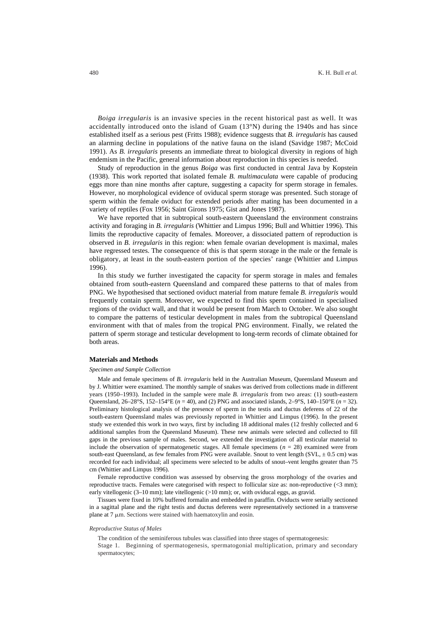*Boiga irregularis* is an invasive species in the recent historical past as well. It was accidentally introduced onto the island of Guam (13°N) during the 1940s and has since established itself as a serious pest (Fritts 1988); evidence suggests that *B. irregularis* has caused an alarming decline in populations of the native fauna on the island (Savidge 1987; McCoid 1991). As *B. irregularis* presents an immediate threat to biological diversity in regions of high endemism in the Pacific, general information about reproduction in this species is needed.

Study of reproduction in the genus *Boiga* was first conducted in central Java by Kopstein (1938). This work reported that isolated female *B. multimaculata* were capable of producing eggs more than nine months after capture, suggesting a capacity for sperm storage in females. However, no morphological evidence of oviducal sperm storage was presented. Such storage of sperm within the female oviduct for extended periods after mating has been documented in a variety of reptiles (Fox 1956; Saint Girons 1975; Gist and Jones 1987).

We have reported that in subtropical south-eastern Queensland the environment constrains activity and foraging in *B. irregularis* (Whittier and Limpus 1996; Bull and Whittier 1996). This limits the reproductive capacity of females. Moreover, a dissociated pattern of reproduction is observed in *B. irregularis* in this region: when female ovarian development is maximal, males have regressed testes. The consequence of this is that sperm storage in the male or the female is obligatory, at least in the south-eastern portion of the species' range (Whittier and Limpus 1996).

In this study we further investigated the capacity for sperm storage in males and females obtained from south-eastern Queensland and compared these patterns to that of males from PNG. We hypothesised that sectioned oviduct material from mature female *B. irregularis* would frequently contain sperm. Moreover, we expected to find this sperm contained in specialised regions of the oviduct wall, and that it would be present from March to October. We also sought to compare the patterns of testicular development in males from the subtropical Queensland environment with that of males from the tropical PNG environment. Finally, we related the pattern of sperm storage and testicular development to long-term records of climate obtained for both areas.

#### **Materials and Methods**

#### *Specimen and Sample Collection*

Male and female specimens of *B. irregularis* held in the Australian Museum, Queensland Museum and by J. Whittier were examined. The monthly sample of snakes was derived from collections made in different years (1950–1993). Included in the sample were male *B. irregularis* from two areas: (1) south-eastern Queensland, 26–28°S, 152–154°E (*n* = 40), and (2) PNG and associated islands, 2–9°S, 140–150°E (*n* = 32). Preliminary histological analysis of the presence of sperm in the testis and ductus deferens of 22 of the south-eastern Queensland males was previously reported in Whittier and Limpus (1996). In the present study we extended this work in two ways, first by including 18 additional males (12 freshly collected and 6 additional samples from the Queensland Museum). These new animals were selected and collected to fill gaps in the previous sample of males. Second, we extended the investigation of all testicular material to include the observation of spermatogenetic stages. All female specimens (*n* = 28) examined were from south-east Queensland, as few females from PNG were available. Snout to vent length (SVL,  $\pm$  0.5 cm) was recorded for each individual; all specimens were selected to be adults of snout–vent lengths greater than 75 cm (Whittier and Limpus 1996).

Female reproductive condition was assessed by observing the gross morphology of the ovaries and reproductive tracts. Females were categorised with respect to follicular size as: non-reproductive  $\ll$ 3 mm); early vitellogenic (3–10 mm); late vitellogenic ( $>10$  mm); or, with oviducal eggs, as gravid.

Tissues were fixed in 10% buffered formalin and embedded in paraffin. Oviducts were serially sectioned in a sagittal plane and the right testis and ductus deferens were representatively sectioned in a transverse plane at  $7 \mu$ m. Sections were stained with haematoxylin and eosin.

#### *Reproductive Status of Males*

The condition of the seminiferous tubules was classified into three stages of spermatogenesis: Stage 1. Beginning of spermatogenesis, spermatogonial multiplication, primary and secondary spermatocytes;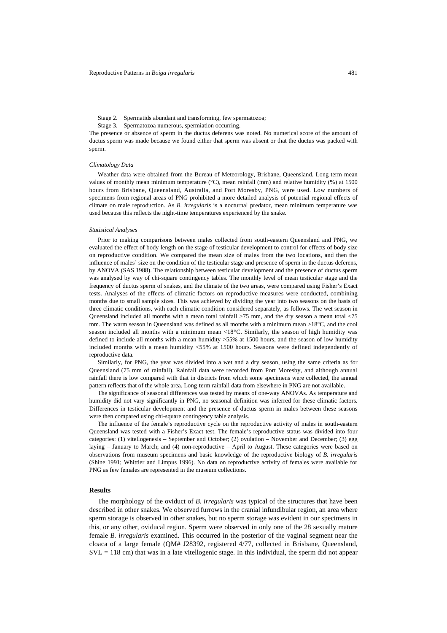Stage 2. Spermatids abundant and transforming, few spermatozoa;

Stage 3. Spermatozoa numerous, spermiation occurring.

The presence or absence of sperm in the ductus deferens was noted. No numerical score of the amount of ductus sperm was made because we found either that sperm was absent or that the ductus was packed with sperm.

#### *Climatology Data*

Weather data were obtained from the Bureau of Meteorology, Brisbane, Queensland. Long-term mean values of monthly mean minimum temperature (°C), mean rainfall (mm) and relative humidity (%) at 1500 hours from Brisbane, Queensland, Australia, and Port Moresby, PNG, were used. Low numbers of specimens from regional areas of PNG prohibited a more detailed analysis of potential regional effects of climate on male reproduction. As *B. irregularis* is a nocturnal predator, mean minimum temperature was used because this reflects the night-time temperatures experienced by the snake.

#### *Statistical Analyses*

Prior to making comparisons between males collected from south-eastern Queensland and PNG, we evaluated the effect of body length on the stage of testicular development to control for effects of body size on reproductive condition. We compared the mean size of males from the two locations, and then the influence of males' size on the condition of the testicular stage and presence of sperm in the ductus deferens, by ANOVA (SAS 1988). The relationship between testicular development and the presence of ductus sperm was analysed by way of chi-square contingency tables. The monthly level of mean testicular stage and the frequency of ductus sperm of snakes, and the climate of the two areas, were compared using Fisher's Exact tests. Analyses of the effects of climatic factors on reproductive measures were conducted, combining months due to small sample sizes. This was achieved by dividing the year into two seasons on the basis of three climatic conditions, with each climatic condition considered separately, as follows. The wet season in Queensland included all months with a mean total rainfall >75 mm, and the dry season a mean total <75 mm. The warm season in Queensland was defined as all months with a minimum mean >18°C, and the cool season included all months with a minimum mean <18°C. Similarly, the season of high humidity was defined to include all months with a mean humidity >55% at 1500 hours, and the season of low humidity included months with a mean humidity <55% at 1500 hours. Seasons were defined independently of reproductive data.

Similarly, for PNG, the year was divided into a wet and a dry season, using the same criteria as for Queensland (75 mm of rainfall). Rainfall data were recorded from Port Moresby, and although annual rainfall there is low compared with that in districts from which some specimens were collected, the annual pattern reflects that of the whole area. Long-term rainfall data from elsewhere in PNG are not available.

The significance of seasonal differences was tested by means of one-way ANOVAs. As temperature and humidity did not vary significantly in PNG, no seasonal definition was inferred for these climatic factors. Differences in testicular development and the presence of ductus sperm in males between these seasons were then compared using chi-square contingency table analysis.

The influence of the female's reproductive cycle on the reproductive activity of males in south-eastern Queensland was tested with a Fisher's Exact test. The female's reproductive status was divided into four categories: (1) vitellogenesis – September and October; (2) ovulation – November and December; (3) egg laying – January to March; and (4) non-reproductive – April to August. These categories were based on observations from museum specimens and basic knowledge of the reproductive biology of *B. irregularis* (Shine 1991; Whittier and Limpus 1996). No data on reproductive activity of females were available for PNG as few females are represented in the museum collections.

#### **Results**

The morphology of the oviduct of *B. irregularis* was typical of the structures that have been described in other snakes. We observed furrows in the cranial infundibular region, an area where sperm storage is observed in other snakes, but no sperm storage was evident in our specimens in this, or any other, oviducal region. Sperm were observed in only one of the 28 sexually mature female *B. irregularis* examined. This occurred in the posterior of the vaginal segment near the cloaca of a large female (QM# J28392, registered 4/77, collected in Brisbane, Queensland,  $SVL = 118$  cm) that was in a late vitellogenic stage. In this individual, the sperm did not appear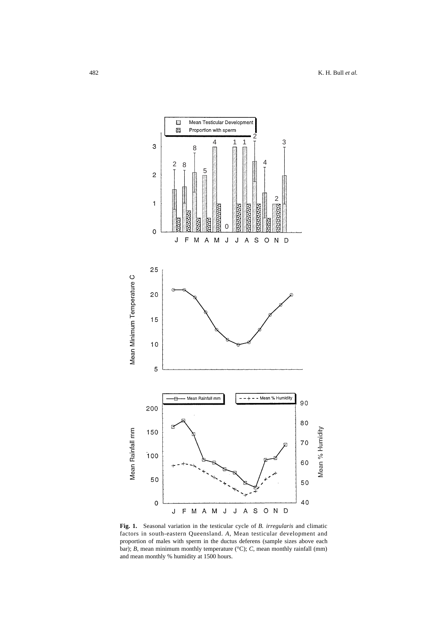

**Fig. 1.** Seasonal variation in the testicular cycle of *B. irregularis* and climatic factors in south-eastern Queensland. *A*, Mean testicular development and proportion of males with sperm in the ductus deferens (sample sizes above each bar); *B*, mean minimum monthly temperature (°C); *C*, mean monthly rainfall (mm) and mean monthly % humidity at 1500 hours.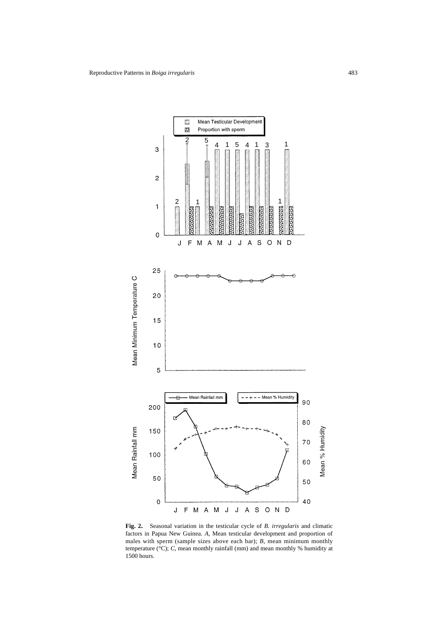

**Fig. 2.** Seasonal variation in the testicular cycle of *B. irregularis* and climatic factors in Papua New Guinea. *A*, Mean testicular development and proportion of males with sperm (sample sizes above each bar); *B*, mean minimum monthly temperature (°C); *C*, mean monthly rainfall (mm) and mean monthly % humidity at 1500 hours.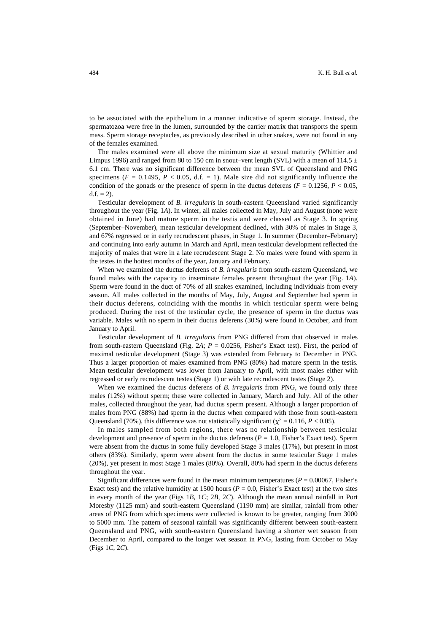to be associated with the epithelium in a manner indicative of sperm storage. Instead, the spermatozoa were free in the lumen, surrounded by the carrier matrix that transports the sperm mass. Sperm storage receptacles, as previously described in other snakes, were not found in any of the females examined.

The males examined were all above the minimum size at sexual maturity (Whittier and Limpus 1996) and ranged from 80 to 150 cm in snout–vent length (SVL) with a mean of 114.5  $\pm$ 6.1 cm. There was no significant difference between the mean SVL of Queensland and PNG specimens ( $F = 0.1495$ ,  $P < 0.05$ , d.f. = 1). Male size did not significantly influence the condition of the gonads or the presence of sperm in the ductus deferens ( $F = 0.1256$ ,  $P < 0.05$ ,  $d.f. = 2$ ).

Testicular development of *B. irregularis* in south-eastern Queensland varied significantly throughout the year (Fig. 1*A*). In winter, all males collected in May, July and August (none were obtained in June) had mature sperm in the testis and were classed as Stage 3. In spring (September–November), mean testicular development declined, with 30% of males in Stage 3, and 67% regressed or in early recrudescent phases, in Stage 1. In summer (December–February) and continuing into early autumn in March and April, mean testicular development reflected the majority of males that were in a late recrudescent Stage 2. No males were found with sperm in the testes in the hottest months of the year, January and February.

When we examined the ductus deferens of *B. irregularis* from south-eastern Queensland, we found males with the capacity to inseminate females present throughout the year (Fig. 1*A*). Sperm were found in the duct of 70% of all snakes examined, including individuals from every season. All males collected in the months of May, July, August and September had sperm in their ductus deferens, coinciding with the months in which testicular sperm were being produced. During the rest of the testicular cycle, the presence of sperm in the ductus was variable. Males with no sperm in their ductus deferens (30%) were found in October, and from January to April.

Testicular development of *B. irregularis* from PNG differed from that observed in males from south-eastern Queensland (Fig. 2*A*; *P* = 0.0256, Fisher's Exact test). First, the period of maximal testicular development (Stage 3) was extended from February to December in PNG. Thus a larger proportion of males examined from PNG (80%) had mature sperm in the testis. Mean testicular development was lower from January to April, with most males either with regressed or early recrudescent testes (Stage 1) or with late recrudescent testes (Stage 2).

When we examined the ductus deferens of *B. irregularis* from PNG, we found only three males (12%) without sperm; these were collected in January, March and July. All of the other males, collected throughout the year, had ductus sperm present. Although a larger proportion of males from PNG (88%) had sperm in the ductus when compared with those from south-eastern Queensland (70%), this difference was not statistically significant ( $\chi^2 = 0.116$ ,  $P < 0.05$ ).

In males sampled from both regions, there was no relationship between testicular development and presence of sperm in the ductus deferens  $(P = 1.0$ , Fisher's Exact test). Sperm were absent from the ductus in some fully developed Stage 3 males (17%), but present in most others (83%). Similarly, sperm were absent from the ductus in some testicular Stage 1 males (20%), yet present in most Stage 1 males (80%). Overall, 80% had sperm in the ductus deferens throughout the year.

Significant differences were found in the mean minimum temperatures ( $P = 0.00067$ , Fisher's Exact test) and the relative humidity at 1500 hours ( $P = 0.0$ , Fisher's Exact test) at the two sites in every month of the year (Figs 1*B*, 1*C*; 2*B*, 2*C*). Although the mean annual rainfall in Port Moresby (1125 mm) and south-eastern Queensland (1190 mm) are similar, rainfall from other areas of PNG from which specimens were collected is known to be greater, ranging from 3000 to 5000 mm. The pattern of seasonal rainfall was significantly different between south-eastern Queensland and PNG, with south-eastern Queensland having a shorter wet season from December to April, compared to the longer wet season in PNG, lasting from October to May (Figs 1*C*, 2*C*).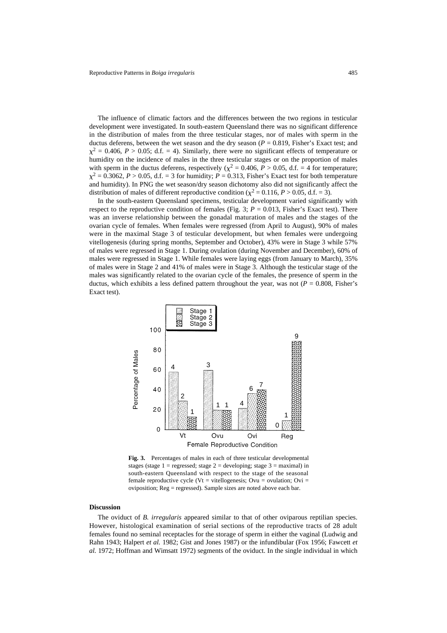The influence of climatic factors and the differences between the two regions in testicular development were investigated. In south-eastern Queensland there was no significant difference in the distribution of males from the three testicular stages, nor of males with sperm in the ductus deferens, between the wet season and the dry season  $(P = 0.819)$ , Fisher's Exact test; and  $\chi^2$  = 0.406, *P* > 0.05; d.f. = 4). Similarly, there were no significant effects of temperature or humidity on the incidence of males in the three testicular stages or on the proportion of males with sperm in the ductus deferens, respectively ( $\chi^2$  = 0.406, *P* > 0.05, d.f. = 4 for temperature;  $\chi^2 = 0.3062$ ,  $P > 0.05$ , d.f. = 3 for humidity;  $P = 0.313$ , Fisher's Exact test for both temperature and humidity). In PNG the wet season/dry season dichotomy also did not significantly affect the distribution of males of different reproductive condition ( $\chi^2$  = 0.116, *P* > 0.05, d.f. = 3).

In the south-eastern Queensland specimens, testicular development varied significantly with respect to the reproductive condition of females (Fig. 3;  $P = 0.013$ , Fisher's Exact test). There was an inverse relationship between the gonadal maturation of males and the stages of the ovarian cycle of females. When females were regressed (from April to August), 90% of males were in the maximal Stage 3 of testicular development, but when females were undergoing vitellogenesis (during spring months, September and October), 43% were in Stage 3 while 57% of males were regressed in Stage 1. During ovulation (during November and December), 60% of males were regressed in Stage 1. While females were laying eggs (from January to March), 35% of males were in Stage 2 and 41% of males were in Stage 3. Although the testicular stage of the males was significantly related to the ovarian cycle of the females, the presence of sperm in the ductus, which exhibits a less defined pattern throughout the year, was not ( $P = 0.808$ , Fisher's Exact test).



**Fig. 3.** Percentages of males in each of three testicular developmental stages (stage  $1 =$  regressed; stage  $2 =$  developing; stage  $3 =$  maximal) in south-eastern Queensland with respect to the stage of the seasonal female reproductive cycle (Vt = vitellogenesis; Ovu = ovulation; Ovi = oviposition; Reg = regressed). Sample sizes are noted above each bar.

#### **Discussion**

The oviduct of *B. irregularis* appeared similar to that of other oviparous reptilian species. However, histological examination of serial sections of the reproductive tracts of 28 adult females found no seminal receptacles for the storage of sperm in either the vaginal (Ludwig and Rahn 1943; Halpert *et al.* 1982; Gist and Jones 1987) or the infundibular (Fox 1956; Fawcett *et al.* 1972; Hoffman and Wimsatt 1972) segments of the oviduct. In the single individual in which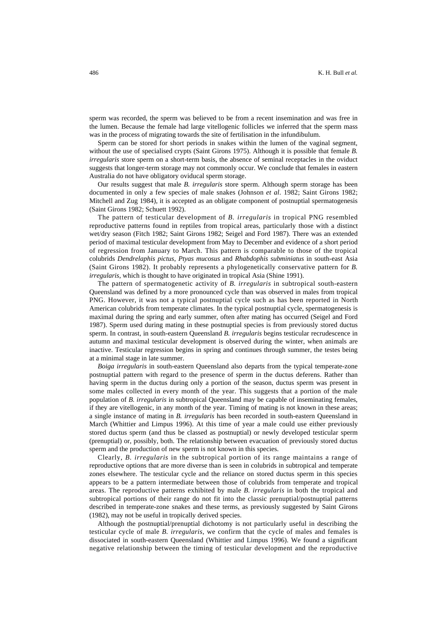sperm was recorded, the sperm was believed to be from a recent insemination and was free in the lumen. Because the female had large vitellogenic follicles we inferred that the sperm mass was in the process of migrating towards the site of fertilisation in the infundibulum.

Sperm can be stored for short periods in snakes within the lumen of the vaginal segment, without the use of specialised crypts (Saint Girons 1975). Although it is possible that female *B. irregularis* store sperm on a short-term basis, the absence of seminal receptacles in the oviduct suggests that longer-term storage may not commonly occur. We conclude that females in eastern Australia do not have obligatory oviducal sperm storage.

Our results suggest that male *B. irregularis* store sperm. Although sperm storage has been documented in only a few species of male snakes (Johnson *et al*. 1982; Saint Girons 1982; Mitchell and Zug 1984), it is accepted as an obligate component of postnuptial spermatogenesis (Saint Girons 1982; Schuett 1992).

The pattern of testicular development of *B. irregularis* in tropical PNG resembled reproductive patterns found in reptiles from tropical areas, particularly those with a distinct wet/dry season (Fitch 1982; Saint Girons 1982; Seigel and Ford 1987). There was an extended period of maximal testicular development from May to December and evidence of a short period of regression from January to March. This pattern is comparable to those of the tropical colubrids *Dendrelaphis pictus*, *Ptyas mucosus* and *Rhabdophis subminiatus* in south-east Asia (Saint Girons 1982). It probably represents a phylogenetically conservative pattern for *B. irregularis*, which is thought to have originated in tropical Asia (Shine 1991).

The pattern of spermatogenetic activity of *B. irregularis* in subtropical south-eastern Queensland was defined by a more pronounced cycle than was observed in males from tropical PNG. However, it was not a typical postnuptial cycle such as has been reported in North American colubrids from temperate climates. In the typical postnuptial cycle, spermatogenesis is maximal during the spring and early summer, often after mating has occurred (Seigel and Ford 1987). Sperm used during mating in these postnuptial species is from previously stored ductus sperm. In contrast, in south-eastern Queensland *B. irregularis* begins testicular recrudescence in autumn and maximal testicular development is observed during the winter, when animals are inactive. Testicular regression begins in spring and continues through summer, the testes being at a minimal stage in late summer.

*Boiga irregularis* in south-eastern Queensland also departs from the typical temperate-zone postnuptial pattern with regard to the presence of sperm in the ductus deferens. Rather than having sperm in the ductus during only a portion of the season, ductus sperm was present in some males collected in every month of the year. This suggests that a portion of the male population of *B. irregularis* in subtropical Queensland may be capable of inseminating females, if they are vitellogenic, in any month of the year. Timing of mating is not known in these areas; a single instance of mating in *B. irregularis* has been recorded in south-eastern Queensland in March (Whittier and Limpus 1996). At this time of year a male could use either previously stored ductus sperm (and thus be classed as postnuptial) or newly developed testicular sperm (prenuptial) or, possibly, both. The relationship between evacuation of previously stored ductus sperm and the production of new sperm is not known in this species.

Clearly, *B. irregularis* in the subtropical portion of its range maintains a range of reproductive options that are more diverse than is seen in colubrids in subtropical and temperate zones elsewhere. The testicular cycle and the reliance on stored ductus sperm in this species appears to be a pattern intermediate between those of colubrids from temperate and tropical areas. The reproductive patterns exhibited by male *B. irregularis* in both the tropical and subtropical portions of their range do not fit into the classic prenuptial/postnuptial patterns described in temperate-zone snakes and these terms, as previously suggested by Saint Girons (1982), may not be useful in tropically derived species.

Although the postnuptial/prenuptial dichotomy is not particularly useful in describing the testicular cycle of male *B. irregularis*, we confirm that the cycle of males and females is dissociated in south-eastern Queensland (Whittier and Limpus 1996). We found a significant negative relationship between the timing of testicular development and the reproductive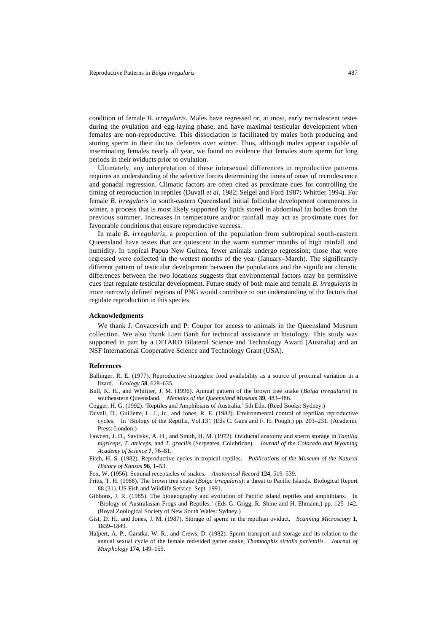condition of female *B. irregularis*. Males have regressed or, at most, early recrudescent testes during the ovulation and egg-laying phase, and have maximal testicular development when females are non-reproductive. This dissociation is facilitated by males both producing and storing sperm in their ductus deferens over winter. Thus, although males appear capable of inseminating females nearly all year, we found no evidence that females store sperm for long periods in their oviducts prior to ovulation.

Ultimately, any interpretation of these intersexual differences in reproductive patterns requires an understanding of the selective forces determining the times of onset of recrudescence and gonadal regression. Climatic factors are often cited as proximate cues for controlling the timing of reproduction in reptiles (Duvall *et al*. 1982; Seigel and Ford 1987; Whittier 1994). For female *B. irregularis* in south-eastern Queensland initial follicular development commences in winter, a process that is most likely supported by lipids stored in abdominal fat bodies from the previous summer. Increases in temperature and/or rainfall may act as proximate cues for favourable conditions that ensure reproductive success.

In male *B. irregularis*, a proportion of the population from subtropical south-eastern Queensland have testes that are quiescent in the warm summer months of high rainfall and humidity. In tropical Papua New Guinea, fewer animals undergo regression; those that were regressed were collected in the wettest months of the year (January–March). The significantly different pattern of testicular development between the populations and the significant climatic differences between the two locations suggests that environmental factors may be permissive cues that regulate testicular development. Future study of both male and female *B. irregularis* in more narrowly defined regions of PNG would contribute to our understanding of the factors that regulate reproduction in this species.

#### **Acknowledgments**

We thank J. Covacevich and P. Couper for access to animals in the Queensland Museum collection. We also thank Lien Banh for technical assistance in histology. This study was supported in part by a DITARD Bilateral Science and Technology Award (Australia) and an NSF International Cooperative Science and Technology Grant (USA).

#### **References**

- Ballinger, R. E. (1977). Reproductive strategies: food availability as a source of proximal variation in a lizard. *Ecology* **58**, 628–635.
- Bull, K. H., and Whittier, J. M. (1996). Annual pattern of the brown tree snake (*Boiga irregularis*) in southeastern Queensland. *Memoirs of the Queensland Museum* **39**, 483–486.
- Cogger, H. G. (1992). 'Reptiles and Amphibians of Australia.' 5th Edn. (Reed Books: Sydney.)
- Duvall, D., Guillette, L. J., Jr., and Jones, R. E. (1982). Environmental control of reptilian reproductive cycles. In 'Biology of the Reptilia, Vol.13'. (Eds C. Gans and F. H. Pough.) pp. 201–231. (Academic Press: London.)
- Fawcett, J. D., Savitsky, A. H., and Smith, H. M. (1972). Oviductal anatomy and sperm storage in *Tantilla nigriceps, T. atriceps*, and *T. gracilis* (Serpentes, Colubridae). *Journal of the Colorado and Wyoming Academy of Science* **7**, 76–81.
- Fitch, H. S. (1982). Reproductive cycles in tropical reptiles. *Publications of the Museum of the Natural History of Kansas* **96**, 1–53.
- Fox, W. (1956). Seminal receptacles of snakes. *Anatomical Record* **124**, 519–539.
- Fritts, T. H. (1988). The brown tree snake (*Boiga irregularis*): a threat to Pacific Islands. Biological Report 88 (31). US Fish and Wildlife Service. Sept. 1991.
- Gibbons, J. R. (1985). The biogeography and evolution of Pacific island reptiles and amphibians. In 'Biology of Australasian Frogs and Reptiles.' (Eds G. Grigg, R. Shine and H. Ehmann.) pp. 125–142. (Royal Zoological Society of New South Wales: Sydney.)
- Gist, D. H., and Jones, J. M. (1987). Storage of sperm in the reptilian oviduct. *Scanning Microscopy* **1**, 1839–1849.
- Halpert, A. P., Garstka, W. R., and Crews, D. (1982). Sperm transport and storage and its relation to the annual sexual cycle of the female red-sided garter snake, *Thamnophis sirtalis parietalis*. *Journal of Morphology* **174**, 149–159.